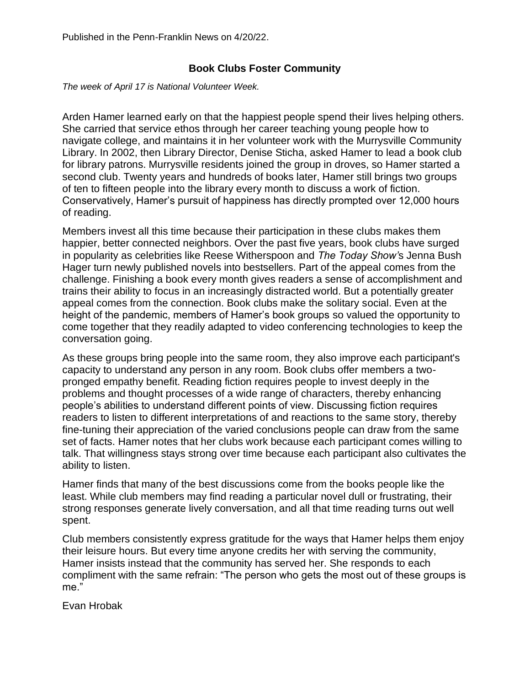## **Book Clubs Foster Community**

*The week of April 17 is National Volunteer Week.*

Arden Hamer learned early on that the happiest people spend their lives helping others. She carried that service ethos through her career teaching young people how to navigate college, and maintains it in her volunteer work with the Murrysville Community Library. In 2002, then Library Director, Denise Sticha, asked Hamer to lead a book club for library patrons. Murrysville residents joined the group in droves, so Hamer started a second club. Twenty years and hundreds of books later, Hamer still brings two groups of ten to fifteen people into the library every month to discuss a work of fiction. Conservatively, Hamer's pursuit of happiness has directly prompted over 12,000 hours of reading.

Members invest all this time because their participation in these clubs makes them happier, better connected neighbors. Over the past five years, book clubs have surged in popularity as celebrities like Reese Witherspoon and *The Today Show'*s Jenna Bush Hager turn newly published novels into bestsellers. Part of the appeal comes from the challenge. Finishing a book every month gives readers a sense of accomplishment and trains their ability to focus in an increasingly distracted world. But a potentially greater appeal comes from the connection. Book clubs make the solitary social. Even at the height of the pandemic, members of Hamer's book groups so valued the opportunity to come together that they readily adapted to video conferencing technologies to keep the conversation going.

As these groups bring people into the same room, they also improve each participant's capacity to understand any person in any room. Book clubs offer members a twopronged empathy benefit. Reading fiction requires people to invest deeply in the problems and thought processes of a wide range of characters, thereby enhancing people's abilities to understand different points of view. Discussing fiction requires readers to listen to different interpretations of and reactions to the same story, thereby fine-tuning their appreciation of the varied conclusions people can draw from the same set of facts. Hamer notes that her clubs work because each participant comes willing to talk. That willingness stays strong over time because each participant also cultivates the ability to listen.

Hamer finds that many of the best discussions come from the books people like the least. While club members may find reading a particular novel dull or frustrating, their strong responses generate lively conversation, and all that time reading turns out well spent.

Club members consistently express gratitude for the ways that Hamer helps them enjoy their leisure hours. But every time anyone credits her with serving the community, Hamer insists instead that the community has served her. She responds to each compliment with the same refrain: "The person who gets the most out of these groups is me."

Evan Hrobak